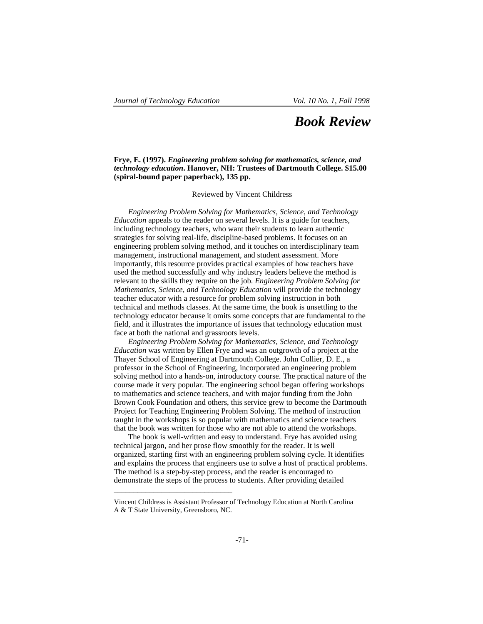## *Book Review*

## **Frye, E. (1997).** *Engineering problem solving for mathematics, science, and technology education***. Hanover, NH: Trustees of Dartmouth College. \$15.00 (spiral-bound paper paperback), 135 pp.**

Reviewed by Vincent Childress

*Engineering Problem Solving for Mathematics, Science, and Technology Education* appeals to the reader on several levels. It is a guide for teachers, including technology teachers, who want their students to learn authentic strategies for solving real-life, discipline-based problems. It focuses on an engineering problem solving method, and it touches on interdisciplinary team management, instructional management, and student assessment. More importantly, this resource provides practical examples of how teachers have used the method successfully and why industry leaders believe the method is relevant to the skills they require on the job. *Engineering Problem Solving for Mathematics, Science, and Technology Education* will provide the technology teacher educator with a resource for problem solving instruction in both technical and methods classes. At the same time, the book is unsettling to the technology educator because it omits some concepts that are fundamental to the field, and it illustrates the importance of issues that technology education must face at both the national and grassroots levels.

*Engineering Problem Solving for Mathematics, Science, and Technology Education* was written by Ellen Frye and was an outgrowth of a project at the Thayer School of Engineering at Dartmouth College. John Collier, D. E., a professor in the School of Engineering, incorporated an engineering problem solving method into a hands-on, introductory course. The practical nature of the course made it very popular. The engineering school began offering workshops to mathematics and science teachers, and with major funding from the John Brown Cook Foundation and others, this service grew to become the Dartmouth Project for Teaching Engineering Problem Solving. The method of instruction taught in the workshops is so popular with mathematics and science teachers that the book was written for those who are not able to attend the workshops.

The book is well-written and easy to understand. Frye has avoided using technical jargon, and her prose flow smoothly for the reader. It is well organized, starting first with an engineering problem solving cycle. It identifies and explains the process that engineers use to solve a host of practical problems. The method is a step-by-step process, and the reader is encouraged to demonstrate the steps of the process to students. After providing detailed

\_\_\_\_\_\_\_\_\_\_\_\_\_\_\_\_\_\_\_\_\_\_\_\_\_\_\_\_\_\_

Vincent Childress is Assistant Professor of Technology Education at North Carolina A & T State University, Greensboro, NC.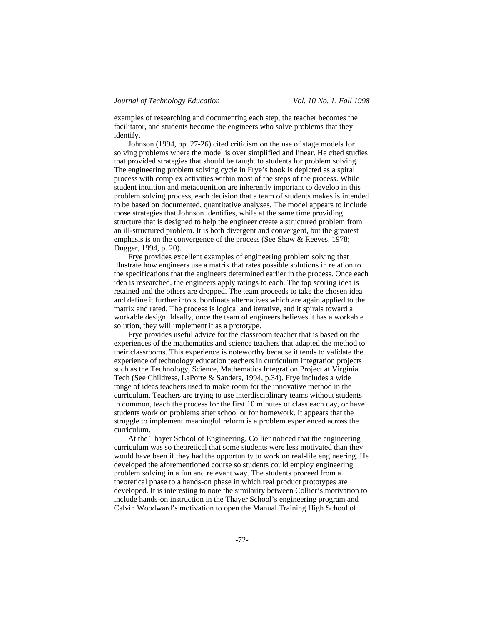examples of researching and documenting each step, the teacher becomes the facilitator, and students become the engineers who solve problems that they identify.

Johnson (1994, pp. 27-26) cited criticism on the use of stage models for solving problems where the model is over simplified and linear. He cited studies that provided strategies that should be taught to students for problem solving. The engineering problem solving cycle in Frye's book is depicted as a spiral process with complex activities within most of the steps of the process. While student intuition and metacognition are inherently important to develop in this problem solving process, each decision that a team of students makes is intended to be based on documented, quantitative analyses. The model appears to include those strategies that Johnson identifies, while at the same time providing structure that is designed to help the engineer create a structured problem from an ill-structured problem. It is both divergent and convergent, but the greatest emphasis is on the convergence of the process (See Shaw & Reeves, 1978; Dugger, 1994, p. 20).

Frye provides excellent examples of engineering problem solving that illustrate how engineers use a matrix that rates possible solutions in relation to the specifications that the engineers determined earlier in the process. Once each idea is researched, the engineers apply ratings to each. The top scoring idea is retained and the others are dropped. The team proceeds to take the chosen idea and define it further into subordinate alternatives which are again applied to the matrix and rated. The process is logical and iterative, and it spirals toward a workable design. Ideally, once the team of engineers believes it has a workable solution, they will implement it as a prototype.

Frye provides useful advice for the classroom teacher that is based on the experiences of the mathematics and science teachers that adapted the method to their classrooms. This experience is noteworthy because it tends to validate the experience of technology education teachers in curriculum integration projects such as the Technology, Science, Mathematics Integration Project at Virginia Tech (See Childress, LaPorte & Sanders, 1994, p.34). Frye includes a wide range of ideas teachers used to make room for the innovative method in the curriculum. Teachers are trying to use interdisciplinary teams without students in common, teach the process for the first 10 minutes of class each day, or have students work on problems after school or for homework. It appears that the struggle to implement meaningful reform is a problem experienced across the curriculum.

At the Thayer School of Engineering, Collier noticed that the engineering curriculum was so theoretical that some students were less motivated than they would have been if they had the opportunity to work on real-life engineering. He developed the aforementioned course so students could employ engineering problem solving in a fun and relevant way. The students proceed from a theoretical phase to a hands-on phase in which real product prototypes are developed. It is interesting to note the similarity between Collier's motivation to include hands-on instruction in the Thayer School's engineering program and Calvin Woodward's motivation to open the Manual Training High School of